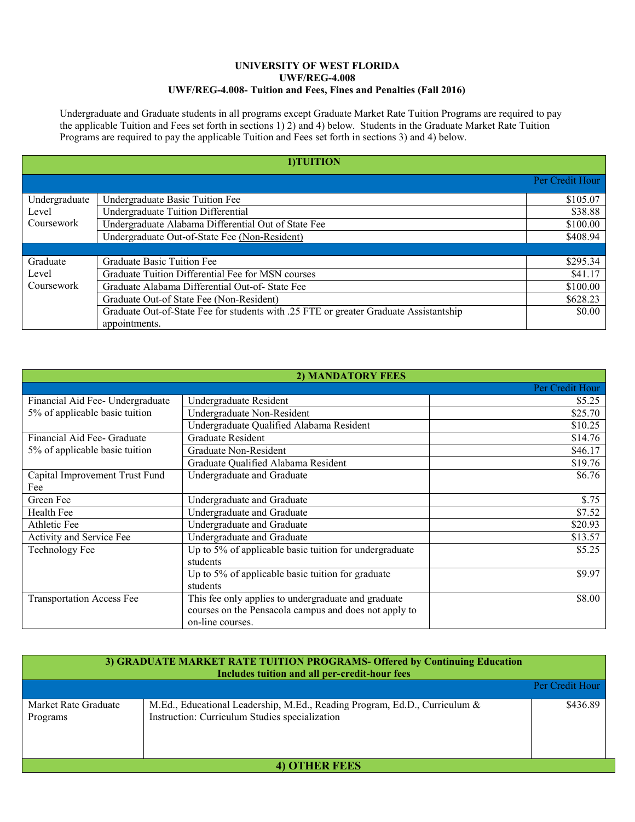## **UNIVERSITY OF WEST FLORIDA UWF/REG-4.008 UWF/REG-4.008- Tuition and Fees, Fines and Penalties (Fall 2016)**

Undergraduate and Graduate students in all programs except Graduate Market Rate Tuition Programs are required to pay the applicable Tuition and Fees set forth in sections 1) 2) and 4) below. Students in the Graduate Market Rate Tuition Programs are required to pay the applicable Tuition and Fees set forth in sections 3) and 4) below.

| 1)TUITION     |                                                                                       |                 |  |  |
|---------------|---------------------------------------------------------------------------------------|-----------------|--|--|
|               |                                                                                       | Per Credit Hour |  |  |
| Undergraduate | Undergraduate Basic Tuition Fee                                                       | \$105.07        |  |  |
| Level         | <b>Undergraduate Tuition Differential</b>                                             | \$38.88         |  |  |
| Coursework    | Undergraduate Alabama Differential Out of State Fee                                   | \$100.00        |  |  |
|               | Undergraduate Out-of-State Fee (Non-Resident)                                         | \$408.94        |  |  |
|               |                                                                                       |                 |  |  |
| Graduate      | Graduate Basic Tuition Fee                                                            | \$295.34        |  |  |
| Level         | Graduate Tuition Differential Fee for MSN courses                                     | \$41.17         |  |  |
| Coursework    | Graduate Alabama Differential Out-of- State Fee                                       | \$100.00        |  |  |
|               | Graduate Out-of State Fee (Non-Resident)                                              | \$628.23        |  |  |
|               | Graduate Out-of-State Fee for students with .25 FTE or greater Graduate Assistantship | \$0.00          |  |  |
|               | appointments.                                                                         |                 |  |  |

|                                  | 2) MANDATORY FEES                                      |                 |
|----------------------------------|--------------------------------------------------------|-----------------|
|                                  |                                                        | Per Credit Hour |
| Financial Aid Fee-Undergraduate  | Undergraduate Resident                                 | \$5.25          |
| 5% of applicable basic tuition   | Undergraduate Non-Resident                             | \$25.70         |
|                                  | Undergraduate Qualified Alabama Resident               | \$10.25         |
| Financial Aid Fee- Graduate      | <b>Graduate Resident</b>                               | \$14.76         |
| 5% of applicable basic tuition   | Graduate Non-Resident                                  | \$46.17         |
|                                  | Graduate Qualified Alabama Resident                    | \$19.76         |
| Capital Improvement Trust Fund   | Undergraduate and Graduate                             | \$6.76          |
| Fee                              |                                                        |                 |
| Green Fee                        | Undergraduate and Graduate                             | \$.75           |
| Health Fee                       | Undergraduate and Graduate                             | \$7.52          |
| Athletic Fee                     | Undergraduate and Graduate                             | \$20.93         |
| Activity and Service Fee         | Undergraduate and Graduate                             | \$13.57         |
| <b>Technology Fee</b>            | Up to 5% of applicable basic tuition for undergraduate | \$5.25          |
|                                  | students                                               |                 |
|                                  | Up to 5% of applicable basic tuition for graduate      | \$9.97          |
|                                  | students                                               |                 |
| <b>Transportation Access Fee</b> | This fee only applies to undergraduate and graduate    | \$8.00          |
|                                  | courses on the Pensacola campus and does not apply to  |                 |
|                                  | on-line courses.                                       |                 |

| 3) GRADUATE MARKET RATE TUITION PROGRAMS- Offered by Continuing Education<br>Includes tuition and all per-credit-hour fees |                                                                                                                              |                 |  |  |  |  |
|----------------------------------------------------------------------------------------------------------------------------|------------------------------------------------------------------------------------------------------------------------------|-----------------|--|--|--|--|
|                                                                                                                            |                                                                                                                              | Per Credit Hour |  |  |  |  |
| Market Rate Graduate<br>Programs                                                                                           | M.Ed., Educational Leadership, M.Ed., Reading Program, Ed.D., Curriculum &<br>Instruction: Curriculum Studies specialization | \$436.89        |  |  |  |  |
| <b>4) OTHER FEES</b>                                                                                                       |                                                                                                                              |                 |  |  |  |  |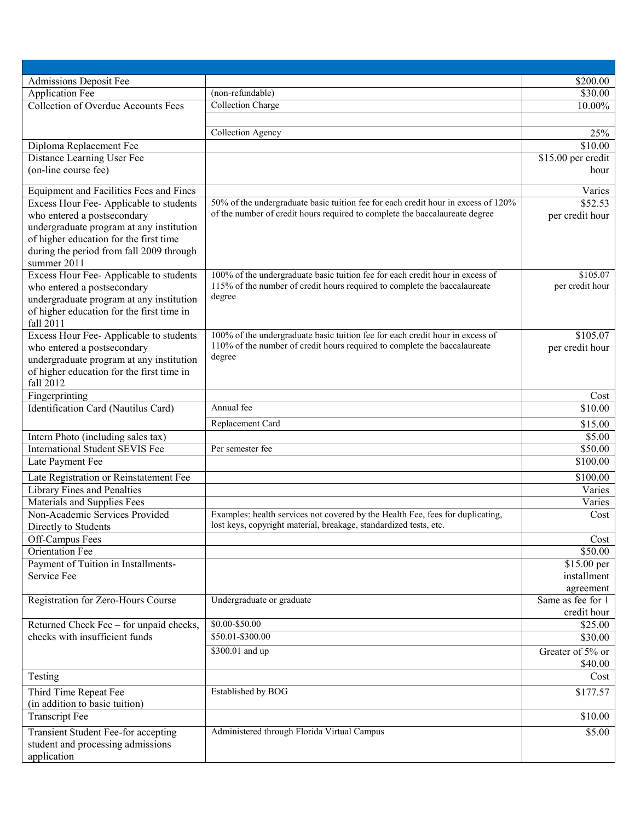| Admissions Deposit Fee                                 |                                                                                   | \$200.00           |
|--------------------------------------------------------|-----------------------------------------------------------------------------------|--------------------|
| Application Fee                                        | (non-refundable)                                                                  | \$30.00            |
| <b>Collection of Overdue Accounts Fees</b>             | <b>Collection Charge</b>                                                          | 10.00%             |
|                                                        |                                                                                   |                    |
|                                                        | <b>Collection Agency</b>                                                          | 25%                |
| Diploma Replacement Fee                                |                                                                                   | \$10.00            |
| Distance Learning User Fee                             |                                                                                   |                    |
| (on-line course fee)                                   |                                                                                   | \$15.00 per credit |
|                                                        |                                                                                   | hour               |
| Equipment and Facilities Fees and Fines                |                                                                                   | Varies             |
| Excess Hour Fee-Applicable to students                 | 50% of the undergraduate basic tuition fee for each credit hour in excess of 120% | \$52.53            |
| who entered a postsecondary                            | of the number of credit hours required to complete the baccalaureate degree       | per credit hour    |
| undergraduate program at any institution               |                                                                                   |                    |
| of higher education for the first time                 |                                                                                   |                    |
| during the period from fall 2009 through               |                                                                                   |                    |
| summer 2011                                            |                                                                                   |                    |
| Excess Hour Fee-Applicable to students                 | 100% of the undergraduate basic tuition fee for each credit hour in excess of     | \$105.07           |
| who entered a postsecondary                            | 115% of the number of credit hours required to complete the baccalaureate         | per credit hour    |
|                                                        | degree                                                                            |                    |
| undergraduate program at any institution               |                                                                                   |                    |
| of higher education for the first time in<br>fall 2011 |                                                                                   |                    |
|                                                        | 100% of the undergraduate basic tuition fee for each credit hour in excess of     | \$105.07           |
| Excess Hour Fee-Applicable to students                 | 110% of the number of credit hours required to complete the baccalaureate         |                    |
| who entered a postsecondary                            | degree                                                                            | per credit hour    |
| undergraduate program at any institution               |                                                                                   |                    |
| of higher education for the first time in              |                                                                                   |                    |
| fall 2012                                              |                                                                                   |                    |
| Fingerprinting                                         |                                                                                   | Cost               |
| Identification Card (Nautilus Card)                    | Annual fee                                                                        | \$10.00            |
|                                                        | Replacement Card                                                                  | \$15.00            |
| Intern Photo (including sales tax)                     |                                                                                   | \$5.00             |
| <b>International Student SEVIS Fee</b>                 | Per semester fee                                                                  | \$50.00            |
| Late Payment Fee                                       |                                                                                   | \$100.00           |
| Late Registration or Reinstatement Fee                 |                                                                                   | \$100.00           |
| Library Fines and Penalties                            |                                                                                   | Varies             |
| Materials and Supplies Fees                            |                                                                                   | Varies             |
| Non-Academic Services Provided                         | Examples: health services not covered by the Health Fee, fees for duplicating,    | Cost               |
| Directly to Students                                   | lost keys, copyright material, breakage, standardized tests, etc.                 |                    |
| Off-Campus Fees                                        |                                                                                   | Cost               |
| <b>Orientation Fee</b>                                 |                                                                                   | \$50.00            |
| Payment of Tuition in Installments-                    |                                                                                   | \$15.00 per        |
| Service Fee                                            |                                                                                   | installment        |
|                                                        |                                                                                   | agreement          |
| Registration for Zero-Hours Course                     | Undergraduate or graduate                                                         | Same as fee for 1  |
|                                                        |                                                                                   | credit hour        |
| Returned Check Fee - for unpaid checks,                | \$0.00-\$50.00                                                                    | \$25.00            |
| checks with insufficient funds                         | \$50.01-\$300.00                                                                  | \$30.00            |
|                                                        |                                                                                   |                    |
|                                                        | \$300.01 and up                                                                   | Greater of 5% or   |
|                                                        |                                                                                   | \$40.00            |
| Testing                                                |                                                                                   | Cost               |
| Third Time Repeat Fee                                  | Established by BOG                                                                | \$177.57           |
| (in addition to basic tuition)                         |                                                                                   |                    |
| <b>Transcript Fee</b>                                  |                                                                                   | \$10.00            |
| Transient Student Fee-for accepting                    | Administered through Florida Virtual Campus                                       | \$5.00             |
| student and processing admissions                      |                                                                                   |                    |
| application                                            |                                                                                   |                    |
|                                                        |                                                                                   |                    |